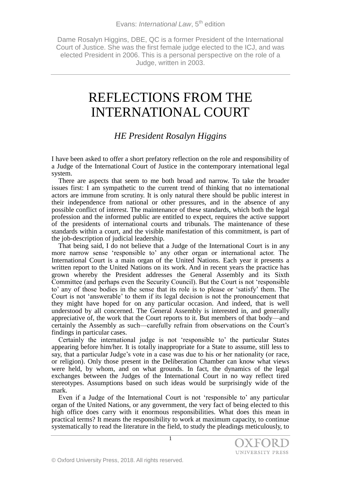Dame Rosalyn Higgins, DBE, QC is a former President of the International Court of Justice. She was the first female judge elected to the ICJ, and was elected President in 2006. This is a personal perspective on the role of a Judge, written in 2003.

# REFLECTIONS FROM THE INTERNATIONAL COURT

## *HE President Rosalyn Higgins*

I have been asked to offer a short prefatory reflection on the role and responsibility of a Judge of the International Court of Justice in the contemporary international legal system.

There are aspects that seem to me both broad and narrow. To take the broader issues first: I am sympathetic to the current trend of thinking that no international actors are immune from scrutiny. It is only natural there should be public interest in their independence from national or other pressures, and in the absence of any possible conflict of interest. The maintenance of these standards, which both the legal profession and the informed public are entitled to expect, requires the active support of the presidents of international courts and tribunals. The maintenance of these standards within a court, and the visible manifestation of this commitment, is part of the job-description of judicial leadership.

That being said, I do not believe that a Judge of the International Court is in any more narrow sense 'responsible to' any other organ or international actor. The International Court is a main organ of the United Nations. Each year it presents a written report to the United Nations on its work. And in recent years the practice has grown whereby the President addresses the General Assembly and its Sixth Committee (and perhaps even the Security Council). But the Court is not 'responsible to' any of those bodies in the sense that its role is to please or 'satisfy' them. The Court is not 'answerable' to them if its legal decision is not the pronouncement that they might have hoped for on any particular occasion. And indeed, that is well understood by all concerned. The General Assembly is interested in, and generally appreciative of, the work that the Court reports to it. But members of that body––and certainly the Assembly as such––carefully refrain from observations on the Court's findings in particular cases.

Certainly the international judge is not 'responsible to' the particular States appearing before him/her. It is totally inappropriate for a State to assume, still less to say, that a particular Judge's vote in a case was due to his or her nationality (or race, or religion). Only those present in the Deliberation Chamber can know what views were held, by whom, and on what grounds. In fact, the dynamics of the legal exchanges between the Judges of the International Court in no way reflect tired stereotypes. Assumptions based on such ideas would be surprisingly wide of the mark.

Even if a Judge of the International Court is not 'responsible to' any particular organ of the United Nations, or any government, the very fact of being elected to this high office does carry with it enormous responsibilities. What does this mean in practical terms? It means the responsibility to work at maximum capacity, to continue systematically to read the literature in the field, to study the pleadings meticulously, to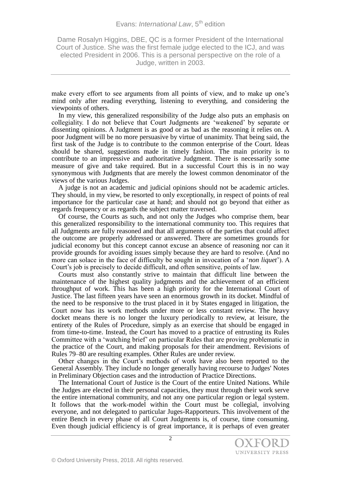### Evans: *International Law*, 5<sup>th</sup> edition

Dame Rosalyn Higgins, DBE, QC is a former President of the International Court of Justice. She was the first female judge elected to the ICJ, and was elected President in 2006. This is a personal perspective on the role of a Judge, written in 2003.

make every effort to see arguments from all points of view, and to make up one's mind only after reading everything, listening to everything, and considering the viewpoints of others.

In my view, this generalized responsibility of the Judge also puts an emphasis on collegiality. I do not believe that Court Judgments are 'weakened' by separate or dissenting opinions. A Judgment is as good or as bad as the reasoning it relies on. A poor Judgment will be no more persuasive by virtue of unanimity. That being said, the first task of the Judge is to contribute to the common enterprise of the Court. Ideas should be shared, suggestions made in timely fashion. The main priority is to contribute to an impressive and authoritative Judgment. There is necessarily some measure of give and take required. But in a successful Court this is in no way synonymous with Judgments that are merely the lowest common denominator of the views of the various Judges.

A judge is not an academic and judicial opinions should not be academic articles. They should, in my view, be resorted to only exceptionally, in respect of points of real importance for the particular case at hand; and should not go beyond that either as regards frequency or as regards the subject matter traversed.

Of course, the Courts as such, and not only the Judges who comprise them, bear this generalized responsibility to the international community too. This requires that all Judgments are fully reasoned and that all arguments of the parties that could affect the outcome are properly addressed or answered. There are sometimes grounds for judicial economy but this concept cannot excuse an absence of reasoning nor can it provide grounds for avoiding issues simply because they are hard to resolve. (And no more can solace in the face of difficulty be sought in invocation of a '*non liquet*'). A Court's job is precisely to decide difficult, and often sensitive, points of law.

Courts must also constantly strive to maintain that difficult line between the maintenance of the highest quality judgments and the achievement of an efficient throughput of work. This has been a high priority for the International Court of Justice. The last fifteen years have seen an enormous growth in its docket. Mindful of the need to be responsive to the trust placed in it by States engaged in litigation, the Court now has its work methods under more or less constant review. The heavy docket means there is no longer the luxury periodically to review, at leisure, the entirety of the Rules of Procedure, simply as an exercise that should be engaged in from time-to-time. Instead, the Court has moved to a practice of entrusting its Rules Committee with a 'watching brief' on particular Rules that are proving problematic in the practice of the Court, and making proposals for their amendment. Revisions of Rules 79–80 are resulting examples. Other Rules are under review.

Other changes in the Court's methods of work have also been reported to the General Assembly. They include no longer generally having recourse to Judges' Notes in Preliminary Objection cases and the introduction of Practice Directions.

The International Court of Justice is the Court of the entire United Nations. While the Judges are elected in their personal capacities, they must through their work serve the entire international community, and not any one particular region or legal system. It follows that the work-model within the Court must be collegial, involving everyone, and not delegated to particular Juges-Rapporteurs. This involvement of the entire Bench in every phase of all Court Judgments is, of course, time consuming. Even though judicial efficiency is of great importance, it is perhaps of even greater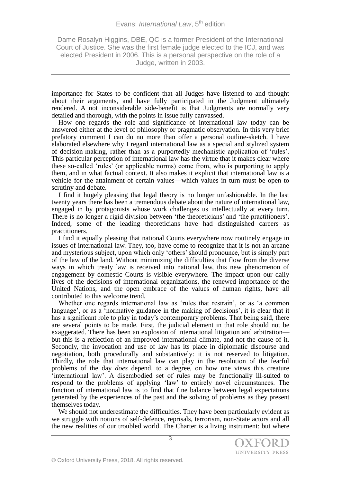### Evans: *International Law*, 5<sup>th</sup> edition

Dame Rosalyn Higgins, DBE, QC is a former President of the International Court of Justice. She was the first female judge elected to the ICJ, and was elected President in 2006. This is a personal perspective on the role of a Judge, written in 2003.

importance for States to be confident that all Judges have listened to and thought about their arguments, and have fully participated in the Judgment ultimately rendered. A not inconsiderable side-benefit is that Judgments are normally very detailed and thorough, with the points in issue fully canvassed.

How one regards the role and significance of international law today can be answered either at the level of philosophy or pragmatic observation. In this very brief prefatory comment I can do no more than offer a personal outline-sketch. I have elaborated elsewhere why I regard international law as a special and stylized system of decision-making, rather than as a purportedly mechanistic application of 'rules'. This particular perception of international law has the virtue that it makes clear where these so-called 'rules' (or applicable norms) come from, who is purporting to apply them, and in what factual context. It also makes it explicit that international law is a vehicle for the attainment of certain values––which values in turn must be open to scrutiny and debate.

I find it hugely pleasing that legal theory is no longer unfashionable. In the last twenty years there has been a tremendous debate about the nature of international law, engaged in by protagonists whose work challenges us intellectually at every turn. There is no longer a rigid division between 'the theoreticians' and 'the practitioners'. Indeed, some of the leading theoreticians have had distinguished careers as practitioners.

I find it equally pleasing that national Courts everywhere now routinely engage in issues of international law. They, too, have come to recognize that it is not an arcane and mysterious subject, upon which only 'others' should pronounce, but is simply part of the law of the land. Without minimizing the difficulties that flow from the diverse ways in which treaty law is received into national law, this new phenomenon of engagement by domestic Courts is visible everywhere. The impact upon our daily lives of the decisions of international organizations, the renewed importance of the United Nations, and the open embrace of the values of human rights, have all contributed to this welcome trend.

Whether one regards international law as 'rules that restrain', or as 'a common language', or as a 'normative guidance in the making of decisions', it is clear that it has a significant role to play in today's contemporary problems. That being said, there are several points to be made. First, the judicial element in that role should not be exaggerated. There has been an explosion of international litigation and arbitration–– but this is a reflection of an improved international climate, and not the cause of it. Secondly, the invocation and use of law has its place in diplomatic discourse and negotiation, both procedurally and substantively: it is not reserved to litigation. Thirdly, the role that international law can play in the resolution of the fearful problems of the day *does* depend, to a degree, on how one views this creature 'international law'. A disembodied set of rules may be functionally ill-suited to respond to the problems of applying 'law' to entirely novel circumstances. The function of international law is to find that fine balance between legal expectations generated by the experiences of the past and the solving of problems as they present themselves today.

We should not underestimate the difficulties. They have been particularly evident as we struggle with notions of self-defence, reprisals, terrorism, non-State actors and all the new realities of our troubled world. The Charter is a living instrument: but where